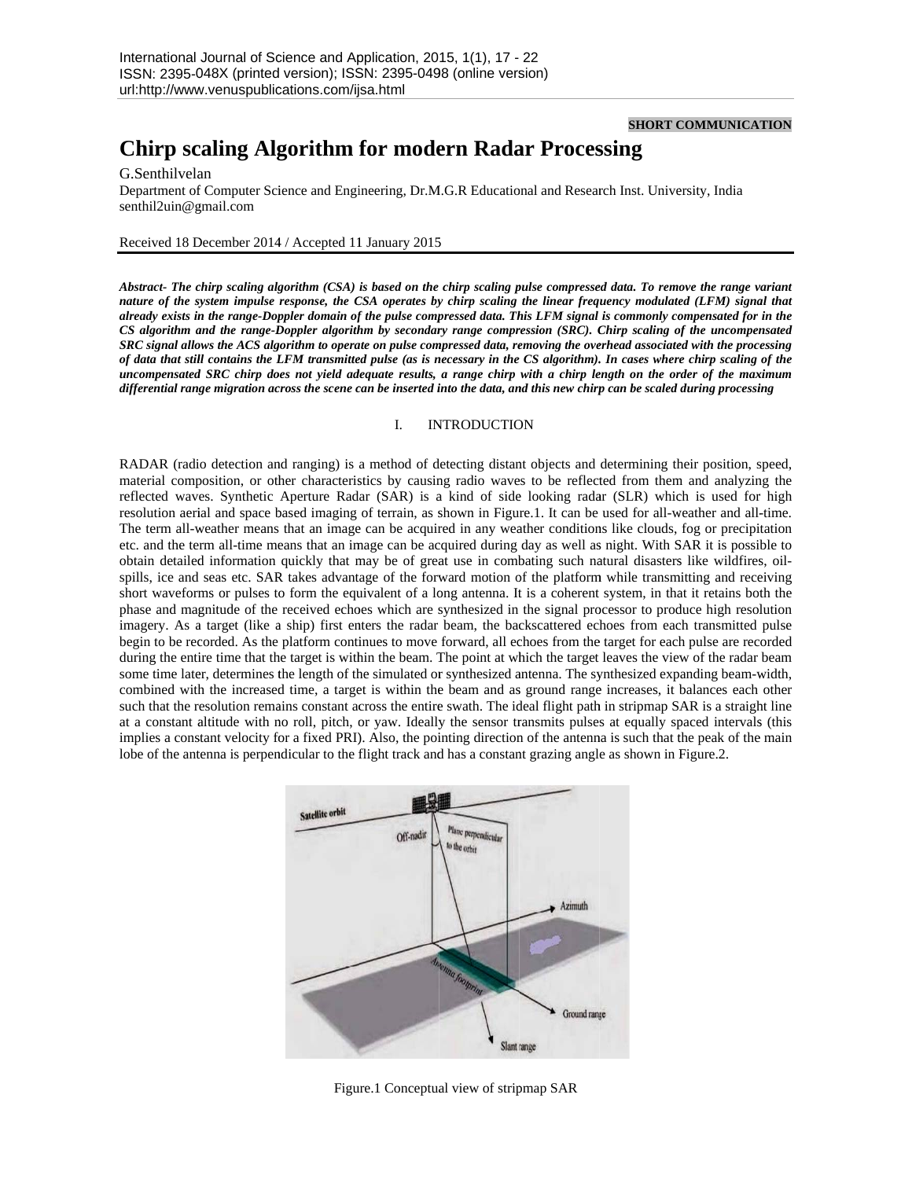## **SHORT C COMMUNICA TION**

# **Chirp scaling Algorithm for modern Radar Processing**

## G.Senthilvela an

Department of Computer Science and Engineering, Dr.M.G.R Educational and Research Inst. University, India senthil2uin@g gmail.com

#### Received 18 December 2014 / Accepted 11 January 2015

*Abstract- The chirp scaling algorithm (CSA) is based on the chirp scaling pulse compressed data. To remove the range variant nature of the system impulse response, the CSA operates by chirp scaling the linear frequency modulated (LFM) signal that*  $\overline{a}$ *already exists in n the range-Dop ppler domain of f the pulse comp pressed data. Th his LFM signal is commonly co ompensated for in the CS algorithm a and the range-D Doppler algorith hm by secondar ry range compr ression (SRC). C Chirp scaling of of the uncompen nsated SRC* signal allows the ACS algorithm to operate on pulse compressed data, removing the overhead associated with the processing *of data that still contains the LFM transmitted pulse (as is necessary in the CS algorithm). In cases where chirp scaling of the uncompensated SRC chirp does not yield adequate results, a range chirp with a chirp length on the order of the maximum* differential range migration across the scene can be inserted into the data, and this new chirp can be scaled during processing

### I. INTRODUCTION

RADAR (radio detection and ranging) is a method of detecting distant objects and determining their position, speed, material composition, or other characteristics by causing radio waves to be reflected from them and analyzing the reflected waves. Synthetic Aperture Radar (SAR) is a kind of side looking radar (SLR) which is used for high resolution aerial and space based imaging of terrain, as shown in Figure.1. It can be used for all-weather and all-time. The term all-weather means that an image can be acquired in any weather conditions like clouds, fog or precipitation etc. and the term all-time means that an image can be acquired during day as well as night. With SAR it is possible to obtain detailed information quickly that may be of great use in combating such natural disasters like wildfires, oilspills, ice and seas etc. SAR takes advantage of the forward motion of the platform while transmitting and receiving short waveforms or pulses to form the equivalent of a long antenna. It is a coherent system, in that it retains both the phase and magnitude of the received echoes which are synthesized in the signal processor to produce high resolution imagery. As a target (like a ship) first enters the radar beam, the backscattered echoes from each transmitted pulse begin to be recorded. As the platform continues to move forward, all echoes from the target for each pulse are recorded during the entire time that the target is within the beam. The point at which the target leaves the view of the radar beam some time later, determines the length of the simulated or synthesized antenna. The synthesized expanding beam-width, combined with the increased time, a target is within the beam and as ground range increases, it balances each other such that the resolution remains constant across the entire swath. The ideal flight path in stripmap SAR is a straight line at a constant altitude with no roll, pitch, or yaw. Ideally the sensor transmits pulses at equally spaced intervals (this implies a constant velocity for a fixed PRI). Also, the pointing direction of the antenna is such that the peak of the main lobe of the antenna is perpendicular to the flight track and has a constant grazing angle as shown in Figure.2.



Figure.1 Conceptual view of stripmap SAR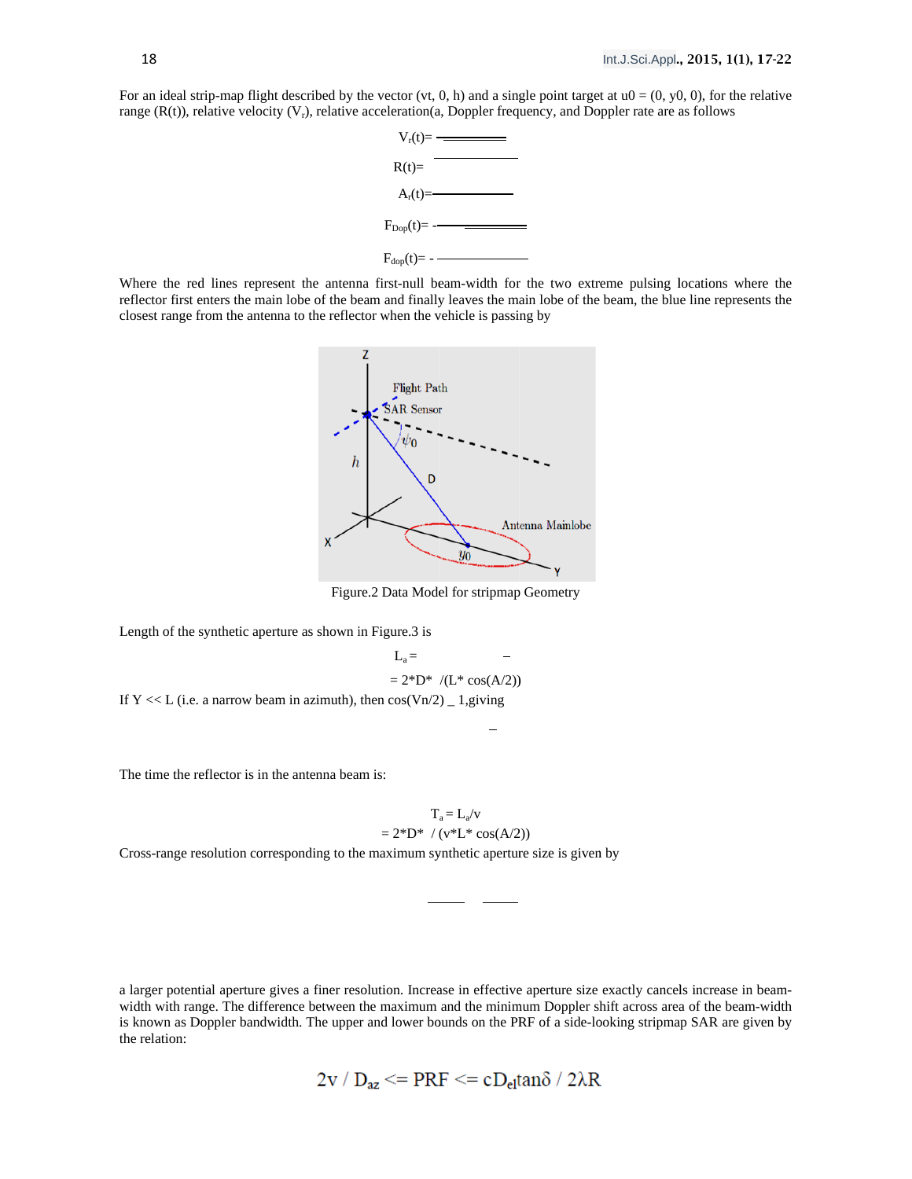For an ideal strip-map flight described by the vector (vt, 0, h) and a single point target at  $u0 = (0, y0, 0)$ , for the relative range  $(R(t))$ , relative velocity  $(V_r)$ , relative acceleration(a, Doppler frequency, and Doppler rate are as follows



Where the red lines represent the antenna first-null beam-width for the two extreme pulsing locations where the reflector first enters the main lobe of the beam and finally leaves the main lobe of the beam, the blue line represents the closest range from the antenna to the reflector when the vehicle is passing by



Figure.2 Data Model for stripmap Geometry

 $L =$ 

Length of the synthetic aperture as shown in Figure.3 is

$$
E_a = 2^*D^* / (L^* \cos(A/2))
$$
  
If Y << L (i.e. a narrow beam in azimuth), then  $\cos(Vn/2) = 1$ , giving

The time the reflector is in the antenna beam is:

$$
= 2*D* / (L* cos(A/2))
$$
  
en cos(Vn/2) \_ 1, giving  
–  
is:  

$$
T_a = L_a/v
$$
  

$$
= 2*D* / (v*L* cos(A/2))
$$

Cross-range resolution corresponding to the maximum synthetic aperture size is given by

a larger potential aperture gives a finer resolution. Increase in effective aperture size exactly cancels increase in beamwidth with range. The difference between the maximum and the minimum Doppler shift across area of the beam-width is known as Doppler bandwidth. The upper and lower bounds on the PRF of a side-looking stripmap SAR are given by the relation:

$$
2v / D_{az} \leq PRF \leq cD_{el} \tan \delta / 2\lambda R
$$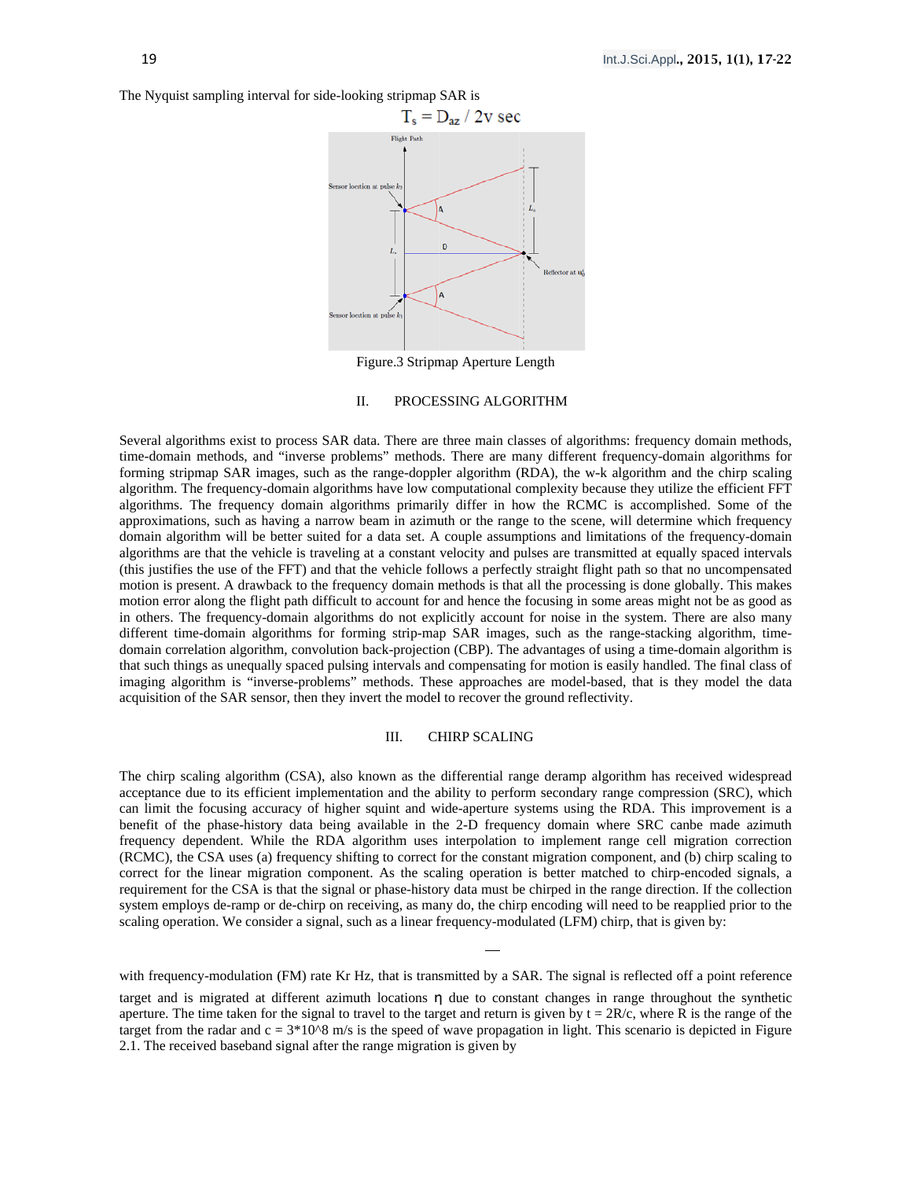The Nyquist sampling interval for side-looking stripmap SAR is



Figure.3 Stripmap Aperture Length

#### II. PROCESSING ALGORITHM

Several algorithms exist to process SAR data. There are three main classes of algorithms: frequency domain methods, time-domain methods, and "inverse problems" methods. There are many different frequency-domain algorithms for forming stripmap SAR images, such as the range-doppler algorithm (RDA), the w-k algorithm and the chirp scaling algorithm. The frequency-domain algorithms have low computational complexity because they utilize the efficient FFT algorithms. The frequency domain algorithms primarily differ in how the RCMC is accomplished. Some of the approximations, such as having a narrow beam in azimuth or the range to the scene, will determine which frequency domain algorithm will be better suited for a data set. A couple assumptions and limitations of the frequency-domain algorithms are that the vehicle is traveling at a constant velocity and pulses are transmitted at equally spaced intervals (this justifies the use of the FFT) and that the vehicle follows a perfectly straight flight path so that no uncompensated motion is present. A drawback to the frequency domain methods is that all the processing is done globally. This makes motion error along the flight path difficult to account for and hence the focusing in some areas might not be as good as in others. The frequency-domain algorithms do not explicitly account for noise in the system. There are also many different time-domain algorithms for forming strip-map SAR images, such as the range-stacking algorithm, timedomain correlation algorithm, convolution back-projection (CBP). The advantages of using a time-domain algorithm is that such things as unequally spaced pulsing intervals and compensating for motion is easily handled. The final class of imaging algorithm is "inverse-problems" methods. These approaches are model-based, that is they model the data acquisition of the SAR sensor, then they invert the model to recover the ground reflectivity.

#### III. **CHIRP SCALING**

The chirp scaling algorithm (CSA), also known as the differential range deramp algorithm has received widespread acceptance due to its efficient implementation and the ability to perform secondary range compression (SRC), which can limit the focusing accuracy of higher squint and wide-aperture systems using the RDA. This improvement is a benefit of the phase-history data being available in the 2-D frequency domain where SRC canbe made azimuth frequency dependent. While the RDA algorithm uses interpolation to implement range cell migration correction (RCMC), the CSA uses (a) frequency shifting to correct for the constant migration component, and (b) chirp scaling to correct for the linear migration component. As the scaling operation is better matched to chirp-encoded signals, a requirement for the CSA is that the signal or phase-history data must be chirped in the range direction. If the collection system employs de-ramp or de-chirp on receiving, as many do, the chirp encoding will need to be reapplied prior to the scaling operation. We consider a signal, such as a linear frequency-modulated (LFM) chirp, that is given by:

with frequency-modulation (FM) rate Kr Hz, that is transmitted by a SAR. The signal is reflected off a point reference target and is migrated at different azimuth locations n due to constant changes in range throughout the synthetic aperture. The time taken for the signal to travel to the target and return is given by  $t = 2R/c$ , where R is the range of the target from the radar and  $c = 3*10^8$  m/s is the speed of wave propagation in light. This scenario is depicted in Figure 2.1. The received baseband signal after the range migration is given by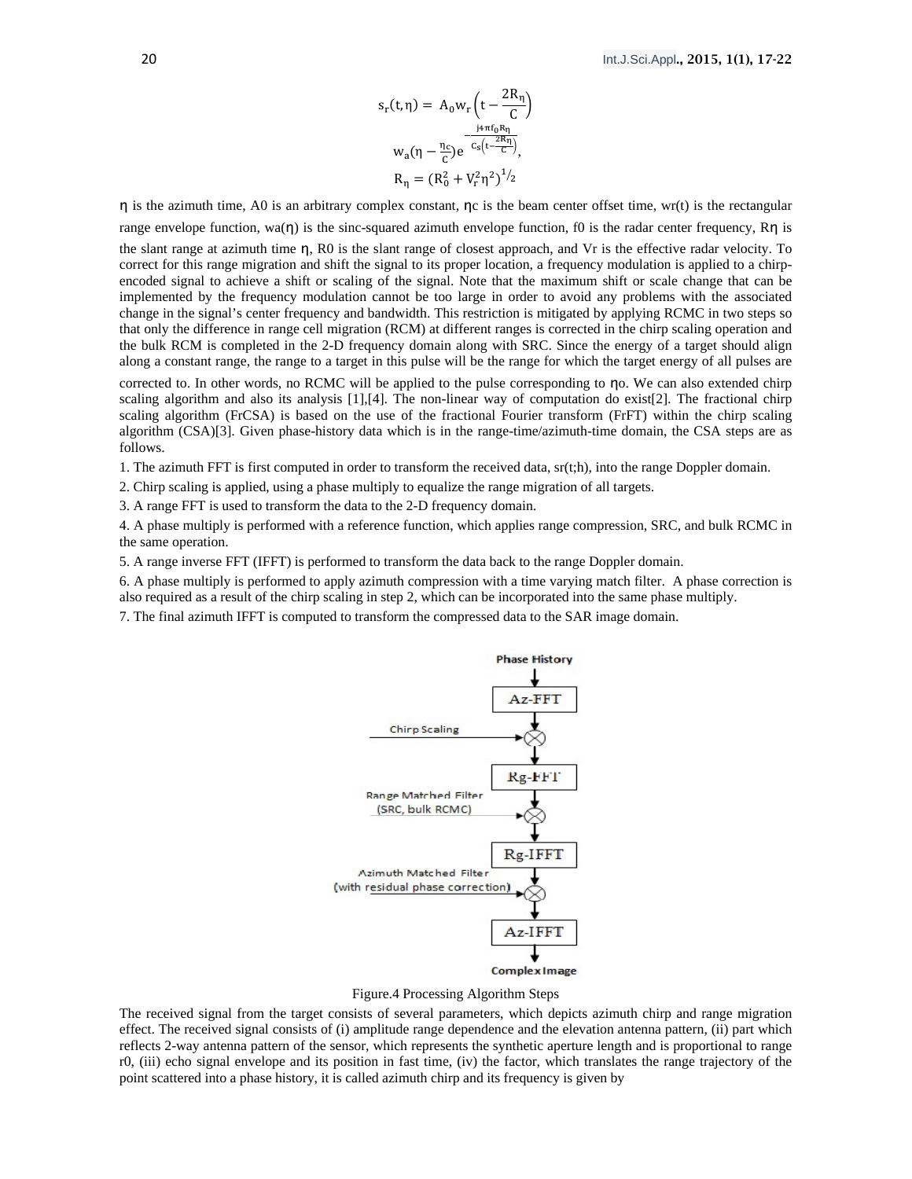$$
s_r(t, \eta) = A_0 w_r \left( t - \frac{2R_\eta}{C} \right)
$$

$$
w_a(\eta - \frac{\eta_c}{C}) e^{-\frac{j_4 \pi f_0 R_\eta}{C_s \left(t - \frac{2R_\eta}{C}\right)}},
$$

$$
R_\eta = (R_0^2 + V_r^2 \eta^2)^{1/2}
$$

 $n$  is the azimuth time, A0 is an arbitrary complex constant,  $nc$  is the beam center offset time, wr(t) is the rectangular range envelope function, wa( $n$ ) is the sinc-squared azimuth envelope function, f0 is the radar center frequency, Rn is the slant range at azimuth time  $n$ , R0 is the slant range of closest approach, and Vr is the effective radar velocity. To correct for this range migration and shift the signal to its proper location, a frequency modulation is applied to a chirpencoded signal to achieve a shift or scaling of the signal. Note that the maximum shift or scale change that can be implemented by the frequency modulation cannot be too large in order to avoid any problems with the associated change in the signal's center frequency and bandwidth. This restriction is mitigated by applying RCMC in two steps so that only the difference in range cell migration (RCM) at different ranges is corrected in the chirp scaling operation and the bulk RCM is completed in the 2-D frequency domain along with SRC. Since the energy of a target should align along a constant range, the range to a target in this pulse will be the range for which the target energy of all pulses are

corrected to. In other words, no RCMC will be applied to the pulse corresponding to no. We can also extended chirp scaling algorithm and also its analysis [1],[4]. The non-linear way of computation do exist[2]. The fractional chirp scaling algorithm (FrCSA) is based on the use of the fractional Fourier transform (FrFT) within the chirp scaling algorithm (CSA)[3]. Given phase-history data which is in the range-time/azimuth-time domain, the CSA steps are as follows.

1. The azimuth FFT is first computed in order to transform the received data, sr(t;h), into the range Doppler domain.

2. Chirp scaling is applied, using a phase multiply to equalize the range migration of all targets.

3. A range FFT is used to transform the data to the 2-D frequency domain.

4. A phase multiply is performed with a reference function, which applies range compression, SRC, and bulk RCMC in the same operation.

5. A range inverse FFT (IFFT) is performed to transform the data back to the range Doppler domain.

6. A phase multiply is performed to apply azimuth compression with a time varying match filter. A phase correction is also required as a result of the chirp scaling in step 2, which can be incorporated into the same phase multiply.

7. The final azimuth IFFT is computed to transform the compressed data to the SAR image domain.



Figure.4 Processing Algorithm Steps

The received signal from the target consists of several parameters, which depicts azimuth chirp and range migration effect. The received signal consists of (i) amplitude range dependence and the elevation antenna pattern, (ii) part which reflects 2-way antenna pattern of the sensor, which represents the synthetic aperture length and is proportional to range r0, (iii) echo signal envelope and its position in fast time, (iv) the factor, which translates the range trajectory of the point scattered into a phase history, it is called azimuth chirp and its frequency is given by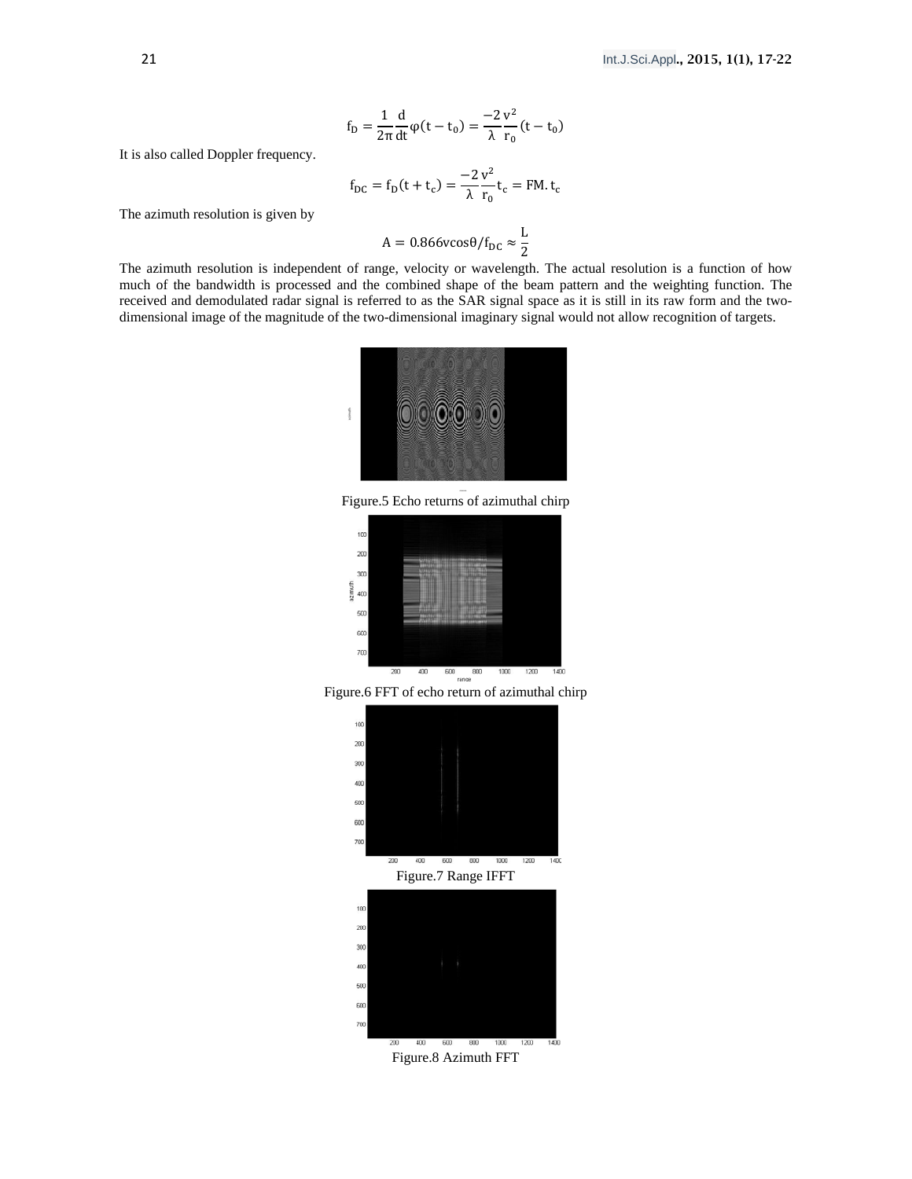$$
f_D=\frac{1}{2\pi}\frac{d}{dt}\phi(t-t_0)=\frac{-2}{\lambda}\frac{v^2}{r_0}(t-t_0)
$$

It is also called Doppler frequency.

$$
f_{DC} = f_D(t + t_c) = \frac{-2 v^2}{\lambda r_0} t_c = FM. t_c
$$

The azimuth resolution is given by

$$
A = 0.866 \text{vcos}\theta / f_{\text{DC}} \approx \frac{L}{2}
$$

The azimuth resolution is independent of range, velocity or wavelength. The actual resolution is a function of how much of the bandwidth is processed and the combined shape of the beam pattern and the weighting function. The received and demodulated radar signal is referred to as the SAR signal space as it is still in its raw form and the twodimensional image of the magnitude of the two-dimensional imaginary signal would not allow recognition of targets.



Figure.5 Echo returns of azimuthal chirp



Figure.6 FFT of echo return of azimuthal chirp





Figure.8 Azimuth FFT